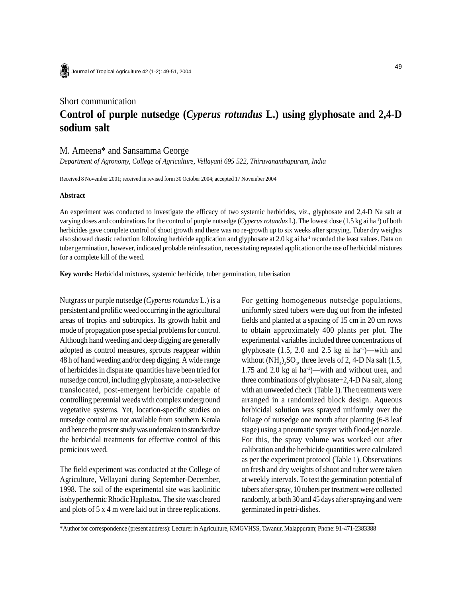## Short communication **Control of purple nutsedge (***Cyperus rotundus* **L.) using glyphosate and 2,4-D sodium salt**

## M. Ameena\* and Sansamma George

*Department of Agronomy, College of Agriculture, Vellayani 695 522, Thiruvananthapuram, India*

Received 8 November 2001; received in revised form 30 October 2004; accepted 17 November 2004

## **Abstract**

An experiment was conducted to investigate the efficacy of two systemic herbicides, viz., glyphosate and 2,4-D Na salt at varying doses and combinations for the control of purple nutsedge (*Cyperus rotundus* L). The lowest dose (1.5 kg ai ha-1) of both herbicides gave complete control of shoot growth and there was no re-growth up to six weeks after spraying. Tuber dry weights also showed drastic reduction following herbicide application and glyphosate at 2.0 kg ai ha<sup>-1</sup> recorded the least values. Data on tuber germination, however, indicated probable reinfestation, necessitating repeated application or the use of herbicidal mixtures for a complete kill of the weed.

**Key words:** Herbicidal mixtures, systemic herbicide, tuber germination, tuberisation

Nutgrass or purple nutsedge (*Cyperus rotundus* L.) is a persistent and prolific weed occurring in the agricultural areas of tropics and subtropics. Its growth habit and mode of propagation pose special problems for control. Although hand weeding and deep digging are generally adopted as control measures, sprouts reappear within 48 h of hand weeding and/or deep digging. A wide range of herbicides in disparate quantities have been tried for nutsedge control, including glyphosate, a non-selective translocated, post-emergent herbicide capable of controlling perennial weeds with complex underground vegetative systems. Yet, location-specific studies on nutsedge control are not available from southern Kerala and hence the present study was undertaken to standardize the herbicidal treatments for effective control of this pernicious weed.

The field experiment was conducted at the College of Agriculture, Vellayani during September-December, 1998. The soil of the experimental site was kaolinitic isohyperthermic Rhodic Haplustox. The site was cleared and plots of 5 x 4 m were laid out in three replications. For getting homogeneous nutsedge populations, uniformly sized tubers were dug out from the infested fields and planted at a spacing of 15 cm in 20 cm rows to obtain approximately 400 plants per plot. The experimental variables included three concentrations of glyphosate  $(1.5, 2.0 \text{ and } 2.5 \text{ kg} \text{ ai ha}^{-1})$ —with and without  $(NH_4)_2SO_4$ , three levels of 2, 4-D Na salt (1.5, 1.75 and 2.0 kg ai ha-1)—with and without urea, and three combinations of glyphosate+2,4-D Na salt, along with an unweeded check (Table 1). The treatments were arranged in a randomized block design. Aqueous herbicidal solution was sprayed uniformly over the foliage of nutsedge one month after planting (6-8 leaf stage) using a pneumatic sprayer with flood-jet nozzle. For this, the spray volume was worked out after calibration and the herbicide quantities were calculated as per the experiment protocol (Table 1). Observations on fresh and dry weights of shoot and tuber were taken at weekly intervals. To test the germination potential of tubers after spray, 10 tubers per treatment were collected randomly, at both 30 and 45 days after spraying and were germinated in petri-dishes.

\*Author for correspondence (present address): Lecturer in Agriculture, KMGVHSS, Tavanur, Malappuram; Phone: 91-471-2383388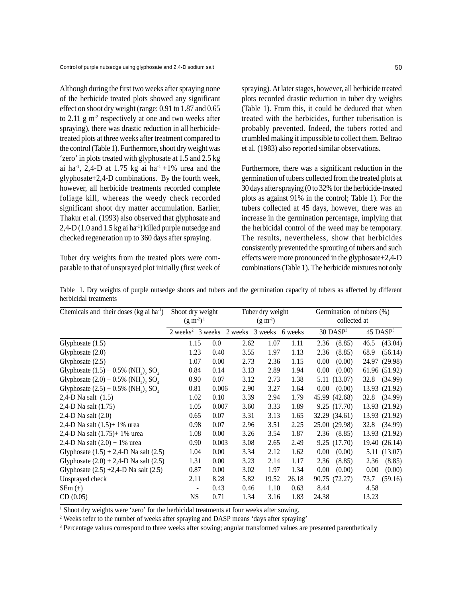Although during the first two weeks after spraying none of the herbicide treated plots showed any significant effect on shoot dry weight (range: 0.91 to 1.87 and 0.65 to 2.11  $\mu$  m<sup>-2</sup> respectively at one and two weeks after spraying), there was drastic reduction in all herbicidetreated plots at three weeks after treatment compared to the control (Table 1). Furthermore, shoot dry weight was 'zero' in plots treated with glyphosate at 1.5 and 2.5 kg ai ha<sup>-1</sup>, 2,4-D at 1.75 kg ai ha<sup>-1</sup> +1% urea and the glyphosate+2,4-D combinations. By the fourth week, however, all herbicide treatments recorded complete foliage kill, whereas the weedy check recorded significant shoot dry matter accumulation. Earlier, Thakur et al. (1993) also observed that glyphosate and 2,4-D (1.0 and 1.5 kg ai ha<sup>-1</sup>) killed purple nutsedge and checked regeneration up to 360 days after spraying.

Tuber dry weights from the treated plots were comparable to that of unsprayed plot initially (first week of

spraying). At later stages, however, all herbicide treated plots recorded drastic reduction in tuber dry weights (Table 1). From this, it could be deduced that when treated with the herbicides, further tuberisation is probably prevented. Indeed, the tubers rotted and crumbled making it impossible to collect them. Beltrao et al. (1983) also reported similar observations.

Furthermore, there was a significant reduction in the germination of tubers collected from the treated plots at 30 days after spraying (0 to 32% for the herbicide-treated plots as against 91% in the control; Table 1). For the tubers collected at 45 days, however, there was an increase in the germination percentage, implying that the herbicidal control of the weed may be temporary. The results, nevertheless, show that herbicides consistently prevented the sprouting of tubers and such effects were more pronounced in the glyphosate+2,4-D combinations (Table 1). The herbicide mixtures not only

Table 1. Dry weights of purple nutsedge shoots and tubers and the germination capacity of tubers as affected by different herbicidal treatments

| Chemicals and their doses (kg ai ha <sup>1</sup> )             | Shoot dry weight<br>$(g m-2)1$                       |       |      | Tuber dry weight<br>$(g m-2)$ |       |       | Germination of tubers (%)<br>collected at |       |                        |  |
|----------------------------------------------------------------|------------------------------------------------------|-------|------|-------------------------------|-------|-------|-------------------------------------------|-------|------------------------|--|
|                                                                |                                                      |       |      |                               |       |       |                                           |       |                        |  |
|                                                                | 2 weeks <sup>2</sup> 3 weeks 2 weeks 3 weeks 6 weeks |       |      |                               |       |       | 30 DASP <sup>3</sup>                      |       | $45$ DASP <sup>3</sup> |  |
| Glyphosate $(1.5)$                                             | 1.15                                                 | 0.0   | 2.62 | 1.07                          | 1.11  | 2.36  | (8.85)                                    | 46.5  | (43.04)                |  |
| Glyphosate $(2.0)$                                             | 1.23                                                 | 0.40  | 3.55 | 1.97                          | 1.13  | 2.36  | (8.85)                                    | 68.9  | (56.14)                |  |
| Glyphosate $(2.5)$                                             | 1.07                                                 | 0.00  | 2.73 | 2.36                          | 1.15  | 0.00  | (0.00)                                    | 24.97 | (29.98)                |  |
| Glyphosate $(1.5) + 0.5\%$ (NH <sub>a</sub> ), SO <sub>4</sub> | 0.84                                                 | 0.14  | 3.13 | 2.89                          | 1.94  | 0.00  | (0.00)                                    |       | 61.96 (51.92)          |  |
| Glyphosate $(2.0) + 0.5\%$ (NH <sub>a</sub> ), SO <sub>4</sub> | 0.90                                                 | 0.07  | 3.12 | 2.73                          | 1.38  |       | 5.11 (13.07)                              | 32.8  | (34.99)                |  |
| Glyphosate $(2.5) + 0.5\%$ (NH <sub>a</sub> ), SO <sub>4</sub> | 0.81                                                 | 0.006 | 2.90 | 3.27                          | 1.64  | 0.00  | (0.00)                                    |       | 13.93 (21.92)          |  |
| 2,4-D Na salt $(1.5)$                                          | 1.02                                                 | 0.10  | 3.39 | 2.94                          | 1.79  |       | 45.99 (42.68)                             | 32.8  | (34.99)                |  |
| 2,4-D Na salt (1.75)                                           | 1.05                                                 | 0.007 | 3.60 | 3.33                          | 1.89  |       | 9.25 (17.70)                              | 13.93 | (21.92)                |  |
| 2,4-D Na salt (2.0)                                            | 0.65                                                 | 0.07  | 3.31 | 3.13                          | 1.65  |       | 32.29 (34.61)                             |       | 13.93 (21.92)          |  |
| 2,4-D Na salt $(1.5)$ + 1% urea                                | 0.98                                                 | 0.07  | 2.96 | 3.51                          | 2.25  |       | 25.00 (29.98)                             | 32.8  | (34.99)                |  |
| 2,4-D Na salt $(1.75)$ + 1% urea                               | 1.08                                                 | 0.00  | 3.26 | 3.54                          | 1.87  | 2.36  | (8.85)                                    |       | 13.93 (21.92)          |  |
| 2,4-D Na salt $(2.0) + 1\%$ urea                               | 0.90                                                 | 0.003 | 3.08 | 2.65                          | 2.49  |       | 9.25(17.70)                               |       | 19.40 (26.14)          |  |
| Glyphosate $(1.5) + 2,4$ -D Na salt $(2.5)$                    | 1.04                                                 | 0.00  | 3.34 | 2.12                          | 1.62  | 0.00  | (0.00)                                    |       | 5.11 (13.07)           |  |
| Glyphosate $(2.0) + 2,4$ -D Na salt $(2.5)$                    | 1.31                                                 | 0.00  | 3.23 | 2.14                          | 1.17  | 2.36  | (8.85)                                    | 2.36  | (8.85)                 |  |
| Glyphosate $(2.5) +2,4$ -D Na salt $(2.5)$                     | 0.87                                                 | 0.00  | 3.02 | 1.97                          | 1.34  | 0.00  | (0.00)                                    | 0.00  | (0.00)                 |  |
| Unsprayed check                                                | 2.11                                                 | 8.28  | 5.82 | 19.52                         | 26.18 |       | 90.75 (72.27)                             | 73.7  | (59.16)                |  |
| $SEm(\pm)$                                                     | $\frac{1}{2}$                                        | 0.43  | 0.46 | 1.10                          | 0.63  | 8.44  |                                           | 4.58  |                        |  |
| CD(0.05)                                                       | <b>NS</b>                                            | 0.71  | 1.34 | 3.16                          | 1.83  | 24.38 |                                           | 13.23 |                        |  |

<sup>1</sup> Shoot dry weights were 'zero' for the herbicidal treatments at four weeks after sowing.

<sup>2</sup> Weeks refer to the number of weeks after spraying and DASP means 'days after spraying'

<sup>3</sup> Percentage values correspond to three weeks after sowing; angular transformed values are presented parenthetically